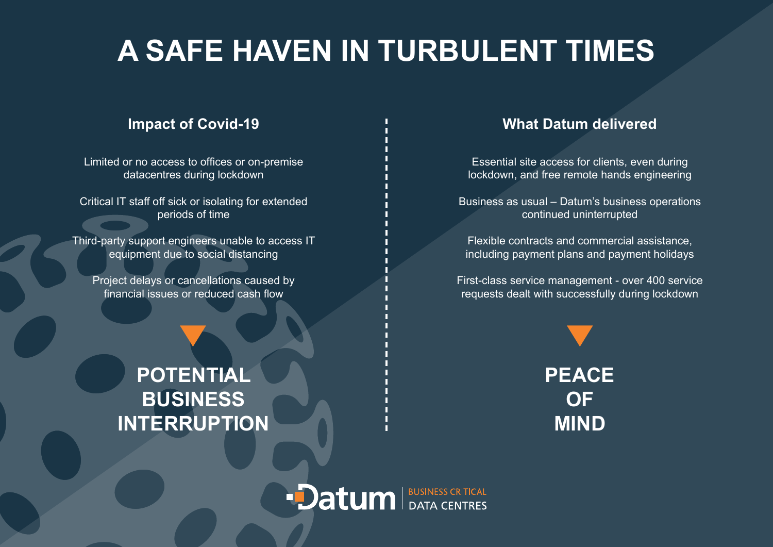## **A SAFE HAVEN IN TURBULENT TIMES**

Limited or no access to offices or on-premise datacentres during lockdown

Critical IT staff off sick or isolating for extended periods of time

Third-party support engineers unable to access IT equipment due to social distancing

Project delays or cancellations caused by financial issues or reduced cash flow

## **POTENTIAL BUSINESS INTERRUPTION**

### **Impact of Covid-19 The Covid-19 What Datum delivered**

Essential site access for clients, even during lockdown, and free remote hands engineering

Business as usual – Datum's business operations continued uninterrupted

Flexible contracts and commercial assistance, including payment plans and payment holidays

First-class service management - over 400 service requests dealt with successfully during lockdown



**Datum** BUSINESS CRITICAL